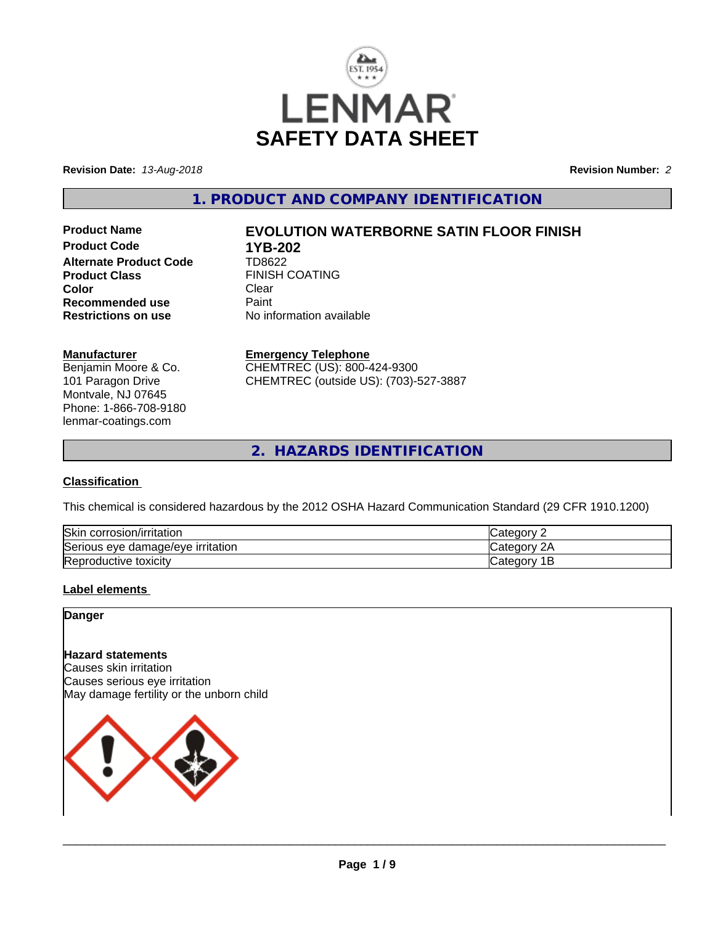

**Revision Date:** *13-Aug-2018* **Revision Number:** *2*

**1. PRODUCT AND COMPANY IDENTIFICATION**

**Product Code 1YB-202**<br>**Alternate Product Code 1D8622 Alternate Product Code Product Class** FINISH COATING<br> **Color** Clear **Color** Clear Clear **Recommended use Faint Paint Paint Restrictions on use Fig. 2016** 

# **Product Name EVOLUTION WATERBORNE SATIN FLOOR FINISH**

**No information available** 

#### **Manufacturer**

Benjamin Moore & Co. 101 Paragon Drive Montvale, NJ 07645 Phone: 1-866-708-9180 lenmar-coatings.com

## **Emergency Telephone**

CHEMTREC (US): 800-424-9300 CHEMTREC (outside US): (703)-527-3887

**2. HAZARDS IDENTIFICATION**

### **Classification**

This chemical is considered hazardous by the 2012 OSHA Hazard Communication Standard (29 CFR 1910.1200)

| <b>Skir</b><br>corrosion/irritation                      | $\sim$<br>. 16 M                          |
|----------------------------------------------------------|-------------------------------------------|
| `<br>irritation<br>damade/eve •<br><b>Serious</b><br>eve | ົ<br>$\sim$<br>ำ่<br>. 10 H               |
| Reproductive toxicity                                    | ≀aor<br>- 0111<br>Jater <sup>-</sup><br>- |

### **Label elements**

## **Danger**

## **Hazard statements**

Causes skin irritation Causes serious eye irritation May damage fertility or the unborn child

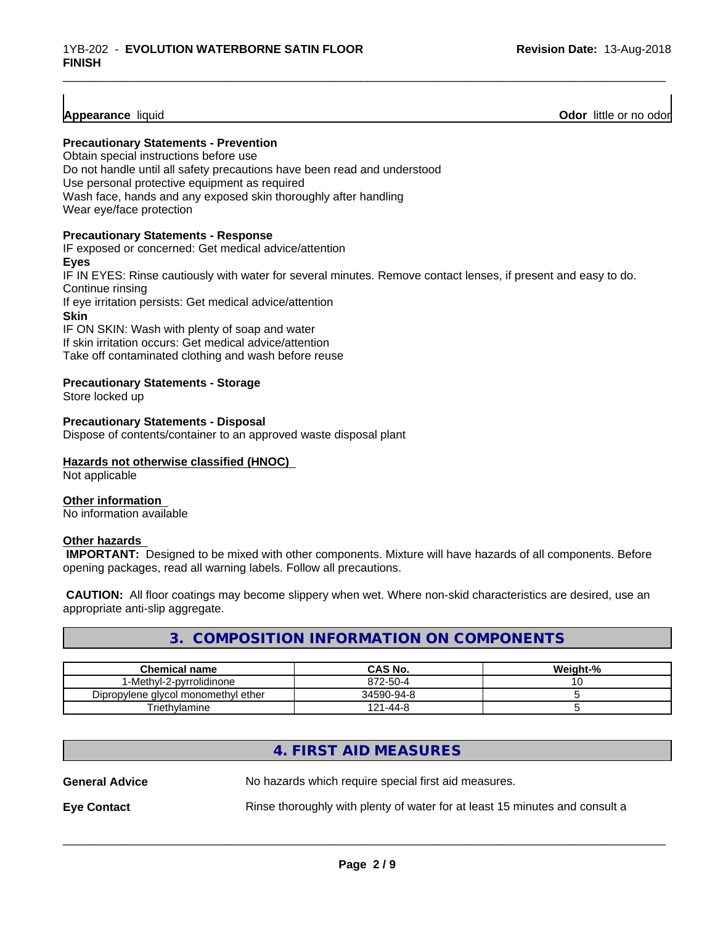**Appearance** liquid **Odor 11** and **Odor 11** and **Odor 11** and **Odor 11** and **Odor Odor** 11 and **Odor** 11 and **Odor** 11 and **Odor** 11 and **Odor** 11 and **Odor** 11 and **Odor** 11 and **Odor** 11 and 2012

#### **Precautionary Statements - Prevention**

Obtain special instructions before use Do not handle until all safety precautions have been read and understood Use personal protective equipment as required Wash face, hands and any exposed skin thoroughly after handling Wear eye/face protection

#### **Precautionary Statements - Response**

IF exposed or concerned: Get medical advice/attention **Eyes** IF IN EYES: Rinse cautiously with water for several minutes. Remove contact lenses, if present and easy to do. Continue rinsing If eye irritation persists: Get medical advice/attention **Skin** IF ON SKIN: Wash with plenty of soap and water If skin irritation occurs: Get medical advice/attention

\_\_\_\_\_\_\_\_\_\_\_\_\_\_\_\_\_\_\_\_\_\_\_\_\_\_\_\_\_\_\_\_\_\_\_\_\_\_\_\_\_\_\_\_\_\_\_\_\_\_\_\_\_\_\_\_\_\_\_\_\_\_\_\_\_\_\_\_\_\_\_\_\_\_\_\_\_\_\_\_\_\_\_\_\_\_\_\_\_\_\_\_\_

Take off contaminated clothing and wash before reuse

#### **Precautionary Statements - Storage**

Store locked up

#### **Precautionary Statements - Disposal**

Dispose of contents/container to an approved waste disposal plant

#### **Hazards not otherwise classified (HNOC)**

Not applicable

#### **Other information**

No information available

#### **Other hazards**

 **IMPORTANT:** Designed to be mixed with other components. Mixture will have hazards of all components. Before opening packages, read all warning labels. Follow all precautions.

 **CAUTION:** All floor coatings may become slippery when wet. Where non-skid characteristics are desired, use an appropriate anti-slip aggregate.

## **3. COMPOSITION INFORMATION ON COMPONENTS**

| <b>Chemical name</b>                | CAS No.             | Weight-% |
|-------------------------------------|---------------------|----------|
| 1-Methyl-2-pyrrolidinone            | 872-50-4            | ັບ       |
| Dipropylene glycol monomethyl ether | 34590-94-8          |          |
| Triethylamine                       | $1 - 44 - 8$<br>121 |          |

## **4. FIRST AID MEASURES**

| <b>General Advice</b> | No hazards which require special first aid measures.                        |
|-----------------------|-----------------------------------------------------------------------------|
| <b>Eye Contact</b>    | Rinse thoroughly with plenty of water for at least 15 minutes and consult a |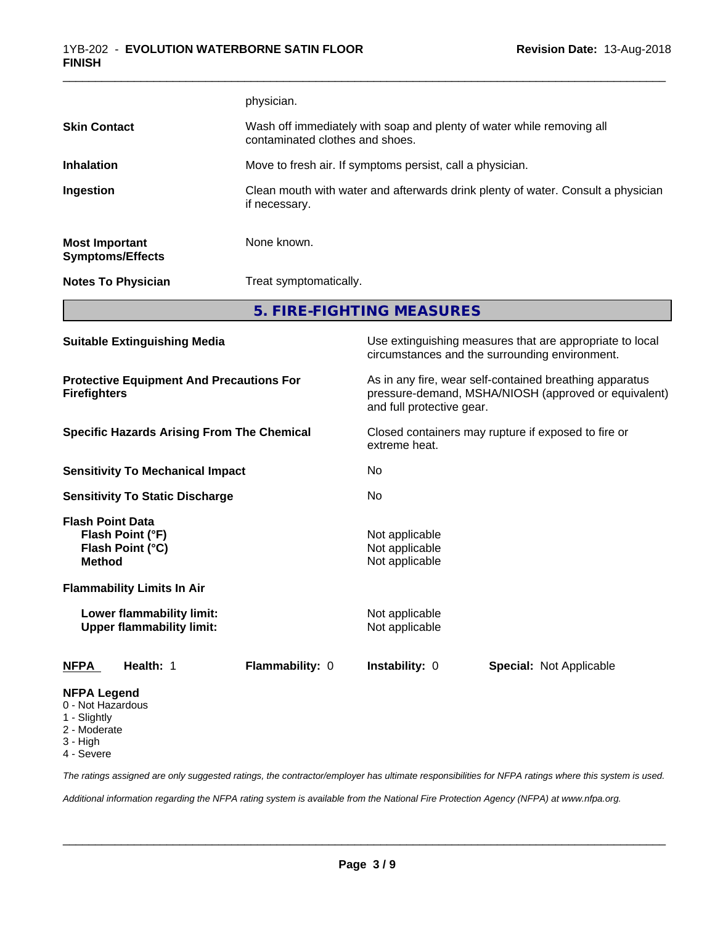|                                                                                                   |                                                               | physician.                                                                                               |                                                                                                            |                                                                                                                 |
|---------------------------------------------------------------------------------------------------|---------------------------------------------------------------|----------------------------------------------------------------------------------------------------------|------------------------------------------------------------------------------------------------------------|-----------------------------------------------------------------------------------------------------------------|
| <b>Skin Contact</b>                                                                               |                                                               | Wash off immediately with soap and plenty of water while removing all<br>contaminated clothes and shoes. |                                                                                                            |                                                                                                                 |
| <b>Inhalation</b>                                                                                 |                                                               | Move to fresh air. If symptoms persist, call a physician.                                                |                                                                                                            |                                                                                                                 |
| Ingestion                                                                                         |                                                               | Clean mouth with water and afterwards drink plenty of water. Consult a physician<br>if necessary.        |                                                                                                            |                                                                                                                 |
| <b>Most Important</b>                                                                             | <b>Symptoms/Effects</b>                                       | None known.                                                                                              |                                                                                                            |                                                                                                                 |
|                                                                                                   | <b>Notes To Physician</b>                                     | Treat symptomatically.                                                                                   |                                                                                                            |                                                                                                                 |
|                                                                                                   |                                                               |                                                                                                          | 5. FIRE-FIGHTING MEASURES                                                                                  |                                                                                                                 |
| <b>Suitable Extinguishing Media</b>                                                               |                                                               |                                                                                                          | Use extinguishing measures that are appropriate to local<br>circumstances and the surrounding environment. |                                                                                                                 |
| <b>Firefighters</b>                                                                               | <b>Protective Equipment And Precautions For</b>               |                                                                                                          | and full protective gear.                                                                                  | As in any fire, wear self-contained breathing apparatus<br>pressure-demand, MSHA/NIOSH (approved or equivalent) |
| <b>Specific Hazards Arising From The Chemical</b>                                                 |                                                               | extreme heat.                                                                                            | Closed containers may rupture if exposed to fire or                                                        |                                                                                                                 |
|                                                                                                   | <b>Sensitivity To Mechanical Impact</b>                       |                                                                                                          | No                                                                                                         |                                                                                                                 |
|                                                                                                   | <b>Sensitivity To Static Discharge</b>                        |                                                                                                          | No                                                                                                         |                                                                                                                 |
| <b>Flash Point Data</b><br><b>Method</b>                                                          | Flash Point (°F)<br>Flash Point (°C)                          |                                                                                                          | Not applicable<br>Not applicable<br>Not applicable                                                         |                                                                                                                 |
|                                                                                                   | <b>Flammability Limits In Air</b>                             |                                                                                                          |                                                                                                            |                                                                                                                 |
|                                                                                                   | Lower flammability limit:<br><b>Upper flammability limit:</b> |                                                                                                          | Not applicable<br>Not applicable                                                                           |                                                                                                                 |
| <b>NFPA</b>                                                                                       | Health: 1                                                     | Flammability: 0                                                                                          | Instability: 0                                                                                             | <b>Special: Not Applicable</b>                                                                                  |
| <b>NFPA Legend</b><br>0 - Not Hazardous<br>1 - Slightly<br>2 - Moderate<br>3 - High<br>4 - Severe |                                                               |                                                                                                          |                                                                                                            |                                                                                                                 |

*The ratings assigned are only suggested ratings, the contractor/employer has ultimate responsibilities for NFPA ratings where this system is used.*

*Additional information regarding the NFPA rating system is available from the National Fire Protection Agency (NFPA) at www.nfpa.org.*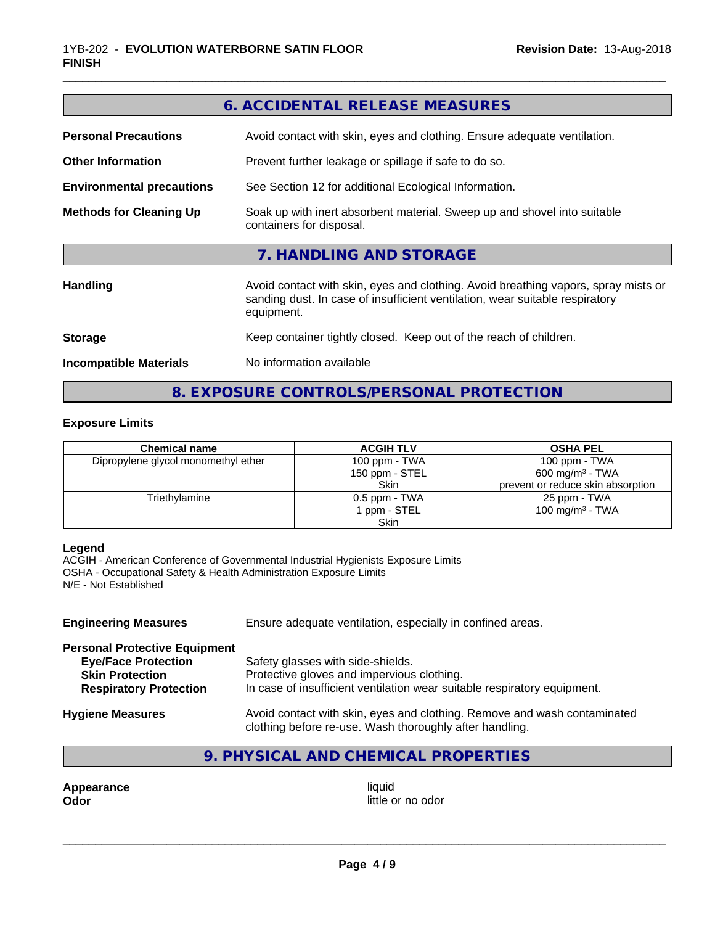|                                  | 6. ACCIDENTAL RELEASE MEASURES                                                                                                                                                   |  |
|----------------------------------|----------------------------------------------------------------------------------------------------------------------------------------------------------------------------------|--|
| <b>Personal Precautions</b>      | Avoid contact with skin, eyes and clothing. Ensure adequate ventilation.                                                                                                         |  |
| <b>Other Information</b>         | Prevent further leakage or spillage if safe to do so.                                                                                                                            |  |
| <b>Environmental precautions</b> | See Section 12 for additional Ecological Information.                                                                                                                            |  |
| <b>Methods for Cleaning Up</b>   | Soak up with inert absorbent material. Sweep up and shovel into suitable<br>containers for disposal.                                                                             |  |
|                                  | 7. HANDLING AND STORAGE                                                                                                                                                          |  |
| <b>Handling</b>                  | Avoid contact with skin, eyes and clothing. Avoid breathing vapors, spray mists or<br>sanding dust. In case of insufficient ventilation, wear suitable respiratory<br>equipment. |  |
| <b>Storage</b>                   | Keep container tightly closed. Keep out of the reach of children.                                                                                                                |  |
| <b>Incompatible Materials</b>    | No information available                                                                                                                                                         |  |
|                                  |                                                                                                                                                                                  |  |

**8. EXPOSURE CONTROLS/PERSONAL PROTECTION**

### **Exposure Limits**

| <b>Chemical name</b>                | <b>ACGIH TLV</b> | <b>OSHA PEL</b>                   |
|-------------------------------------|------------------|-----------------------------------|
| Dipropylene glycol monomethyl ether | 100 ppm - TWA    | 100 ppm $-$ TWA                   |
|                                     | 150 ppm - STEL   | $600 \text{ mg/m}^3$ - TWA        |
|                                     | <b>Skin</b>      | prevent or reduce skin absorption |
| Triethylamine                       | 0.5 ppm - TWA    | 25 ppm - TWA                      |
|                                     | 1 ppm - STEL     | 100 mg/m $3$ - TWA                |
|                                     | Skin             |                                   |

## **Legend**

ACGIH - American Conference of Governmental Industrial Hygienists Exposure Limits OSHA - Occupational Safety & Health Administration Exposure Limits N/E - Not Established

| <b>Engineering Measures</b>          | Ensure adequate ventilation, especially in confined areas.                                                                          |  |
|--------------------------------------|-------------------------------------------------------------------------------------------------------------------------------------|--|
| <b>Personal Protective Equipment</b> |                                                                                                                                     |  |
| <b>Eye/Face Protection</b>           | Safety glasses with side-shields.                                                                                                   |  |
| <b>Skin Protection</b>               | Protective gloves and impervious clothing.                                                                                          |  |
| <b>Respiratory Protection</b>        | In case of insufficient ventilation wear suitable respiratory equipment.                                                            |  |
| <b>Hygiene Measures</b>              | Avoid contact with skin, eyes and clothing. Remove and wash contaminated<br>clothing before re-use. Wash thoroughly after handling. |  |

# **9. PHYSICAL AND CHEMICAL PROPERTIES**

**Appearance** liquid **Odor** liquid little of little of little of little of little of little of little of little of little of little of little of little of little of little of little of little of little of little of little o

little or no odor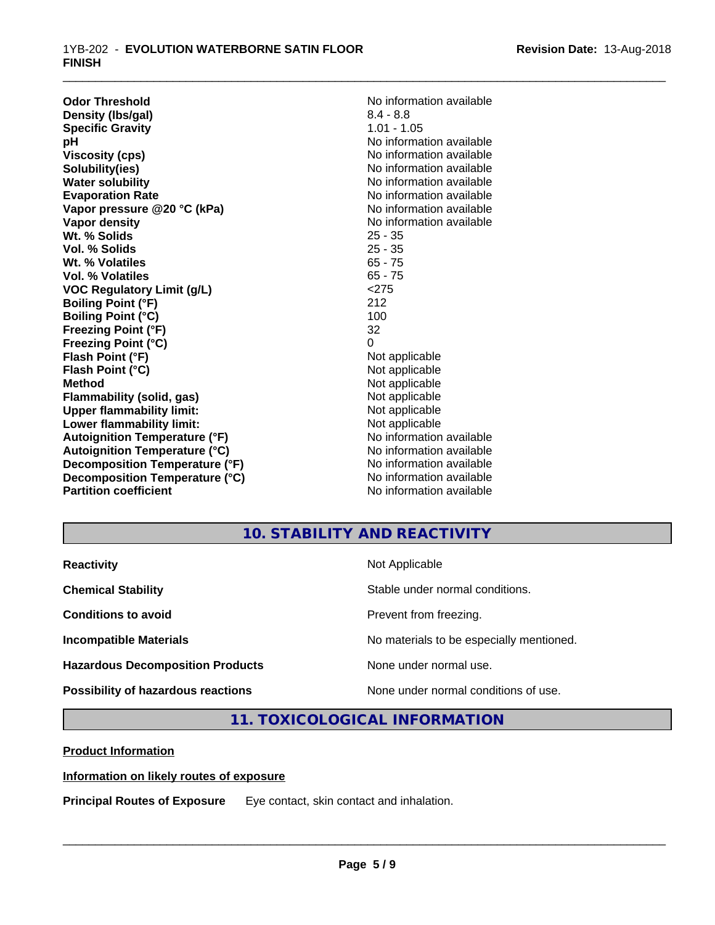**Odor Threshold**<br> **Density (Ibs/gal)**<br> **Density (Ibs/gal)**<br> **No information available**<br>  $8.4 - 8.8$ **Density (Ibs/gal)** 8.4 - 8.8<br> **Specific Gravity** 6.1 - 8.8<br> **Specific Gravity** 6.1 **Specific Gravity**<br>pH **Viscosity (cps)** No information available in the Viscosity (cps) **Solubility(ies)** No information available **Water solubility** No information available **Evaporation Rate No information available No information available Vapor pressure @20 °C (kPa)** No information available **Vapor density**  $\blacksquare$  No information available **Wt. % Solids** 25 - 35 **Vol. % Solids Wt. % Volatiles** 65 - 75<br> **Vol. % Volatiles** 65 - 75 **Vol. % Volatiles VOC Regulatory Limit (g/L)** <275 **Boiling Point (°F)** 212 **Boiling Point (°C) Freezing Point (°F)** 32 **Freezing Point (°C)** 0 **Flash Point (°F)** Not applicable **Flash Point (°C)** Not applicable **Method**<br> **Flammability (solid, gas)**<br> **Example 2018** Not applicable **Flammability** (solid, gas) **Upper flammability limit:**<br> **Lower flammability limit:**<br>
Not applicable<br>
Not applicable **Lower flammability limit:**<br> **Autoignition Temperature (°F)**<br>
Mo information available **Autoignition Temperature (°F) Autoignition Temperature (°C)** No information available **Decomposition Temperature (°F)** No information available **Decomposition Temperature (°C)** No information available **Partition coefficient** and the settlement of the No information available

**No information available** 

\_\_\_\_\_\_\_\_\_\_\_\_\_\_\_\_\_\_\_\_\_\_\_\_\_\_\_\_\_\_\_\_\_\_\_\_\_\_\_\_\_\_\_\_\_\_\_\_\_\_\_\_\_\_\_\_\_\_\_\_\_\_\_\_\_\_\_\_\_\_\_\_\_\_\_\_\_\_\_\_\_\_\_\_\_\_\_\_\_\_\_\_\_

# **10. STABILITY AND REACTIVITY**

| <b>Reactivity</b>                         | Not Applicable                           |
|-------------------------------------------|------------------------------------------|
| <b>Chemical Stability</b>                 | Stable under normal conditions.          |
| <b>Conditions to avoid</b>                | Prevent from freezing.                   |
| <b>Incompatible Materials</b>             | No materials to be especially mentioned. |
| <b>Hazardous Decomposition Products</b>   | None under normal use.                   |
| <b>Possibility of hazardous reactions</b> | None under normal conditions of use.     |

## **11. TOXICOLOGICAL INFORMATION**

**Product Information**

### **Information on likely routes of exposure**

**Principal Routes of Exposure** Eye contact, skin contact and inhalation.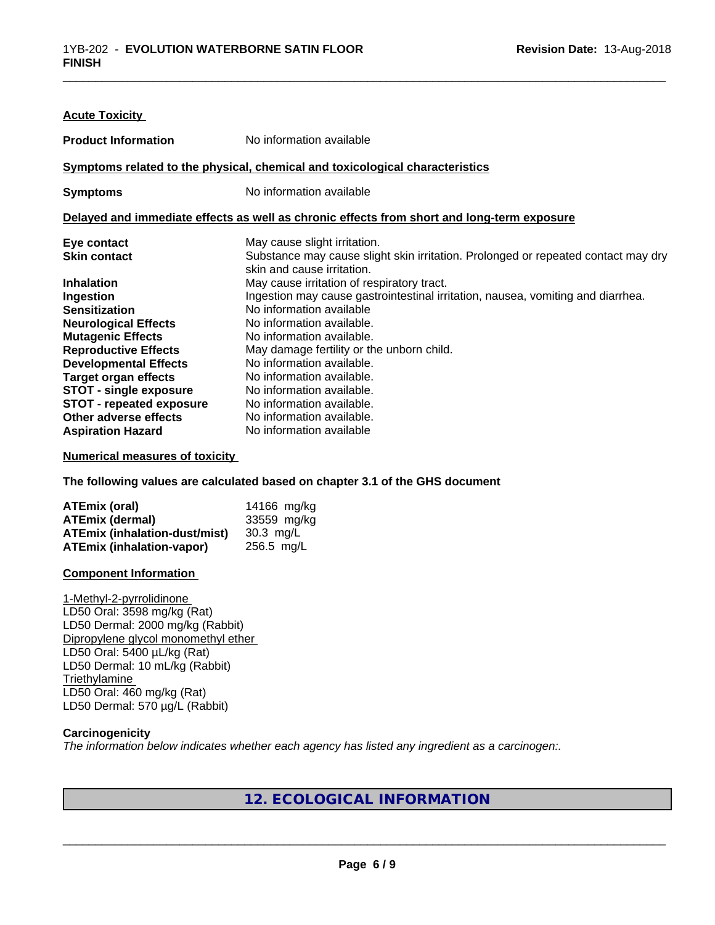| <b>Acute Toxicity</b>           |                                                                                                                 |  |  |
|---------------------------------|-----------------------------------------------------------------------------------------------------------------|--|--|
| <b>Product Information</b>      | No information available                                                                                        |  |  |
|                                 | Symptoms related to the physical, chemical and toxicological characteristics                                    |  |  |
| <b>Symptoms</b>                 | No information available                                                                                        |  |  |
|                                 | Delayed and immediate effects as well as chronic effects from short and long-term exposure                      |  |  |
| Eye contact                     | May cause slight irritation.                                                                                    |  |  |
| <b>Skin contact</b>             | Substance may cause slight skin irritation. Prolonged or repeated contact may dry<br>skin and cause irritation. |  |  |
| <b>Inhalation</b>               | May cause irritation of respiratory tract.                                                                      |  |  |
| Ingestion                       | Ingestion may cause gastrointestinal irritation, nausea, vomiting and diarrhea.                                 |  |  |
| <b>Sensitization</b>            | No information available                                                                                        |  |  |
| <b>Neurological Effects</b>     | No information available.                                                                                       |  |  |
| <b>Mutagenic Effects</b>        | No information available.                                                                                       |  |  |
| <b>Reproductive Effects</b>     | May damage fertility or the unborn child.                                                                       |  |  |
| <b>Developmental Effects</b>    | No information available.                                                                                       |  |  |
| <b>Target organ effects</b>     | No information available.                                                                                       |  |  |
| <b>STOT - single exposure</b>   | No information available.                                                                                       |  |  |
| <b>STOT - repeated exposure</b> | No information available.                                                                                       |  |  |
| Other adverse effects           | No information available.                                                                                       |  |  |
| <b>Aspiration Hazard</b>        | No information available                                                                                        |  |  |

\_\_\_\_\_\_\_\_\_\_\_\_\_\_\_\_\_\_\_\_\_\_\_\_\_\_\_\_\_\_\_\_\_\_\_\_\_\_\_\_\_\_\_\_\_\_\_\_\_\_\_\_\_\_\_\_\_\_\_\_\_\_\_\_\_\_\_\_\_\_\_\_\_\_\_\_\_\_\_\_\_\_\_\_\_\_\_\_\_\_\_\_\_

#### **Numerical measures of toxicity**

**The following values are calculated based on chapter 3.1 of the GHS document**

| ATEmix (oral)                        | 14166 mg/kg  |
|--------------------------------------|--------------|
| <b>ATEmix (dermal)</b>               | 33559 mg/kg  |
| <b>ATEmix (inhalation-dust/mist)</b> | 30.3 ma/L    |
| <b>ATEmix (inhalation-vapor)</b>     | $256.5$ mg/L |

#### **Component Information**

1-Methyl-2-pyrrolidinone LD50 Oral: 3598 mg/kg (Rat) LD50 Dermal: 2000 mg/kg (Rabbit) Dipropylene glycol monomethyl ether LD50 Oral: 5400 µL/kg (Rat) LD50 Dermal: 10 mL/kg (Rabbit) **Triethylamine** LD50 Oral: 460 mg/kg (Rat) LD50 Dermal: 570 µg/L (Rabbit)

#### **Carcinogenicity**

*The information below indicateswhether each agency has listed any ingredient as a carcinogen:.*

## **12. ECOLOGICAL INFORMATION**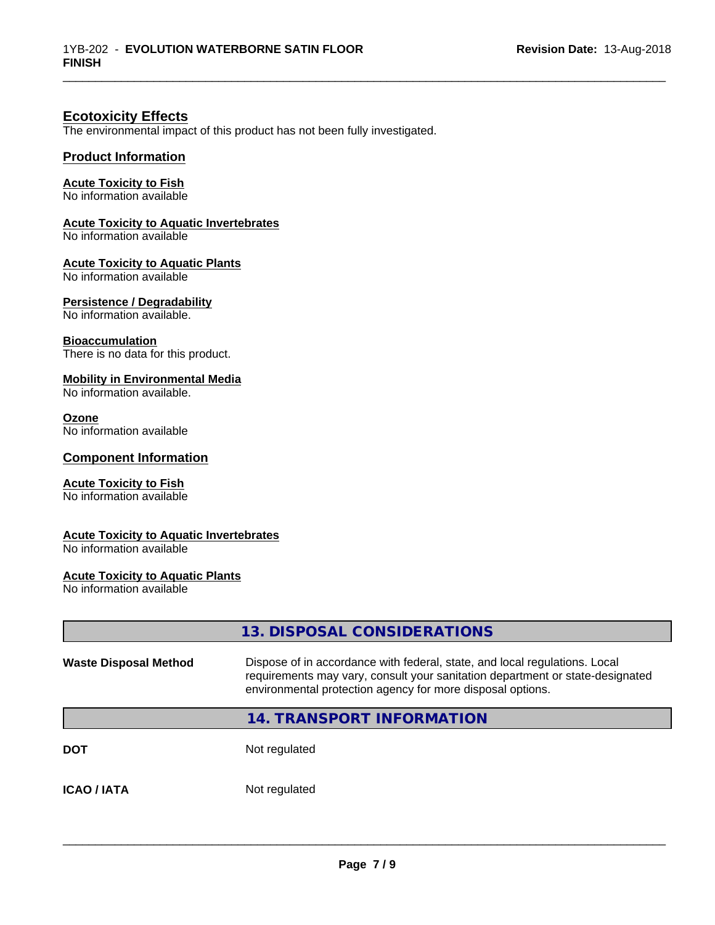\_\_\_\_\_\_\_\_\_\_\_\_\_\_\_\_\_\_\_\_\_\_\_\_\_\_\_\_\_\_\_\_\_\_\_\_\_\_\_\_\_\_\_\_\_\_\_\_\_\_\_\_\_\_\_\_\_\_\_\_\_\_\_\_\_\_\_\_\_\_\_\_\_\_\_\_\_\_\_\_\_\_\_\_\_\_\_\_\_\_\_\_\_

## **Ecotoxicity Effects**

The environmental impact of this product has not been fully investigated.

#### **Product Information**

#### **Acute Toxicity to Fish**

No information available

#### **Acute Toxicity to Aquatic Invertebrates**

No information available

#### **Acute Toxicity to Aquatic Plants**

No information available

#### **Persistence / Degradability**

No information available.

#### **Bioaccumulation**

There is no data for this product.

#### **Mobility in Environmental Media**

No information available.

#### **Ozone**

No information available

#### **Component Information**

#### **Acute Toxicity to Fish**

No information available

#### **Acute Toxicity to Aquatic Invertebrates**

No information available

### **Acute Toxicity to Aquatic Plants**

No information available

|                              | 13. DISPOSAL CONSIDERATIONS                                                                                                                                                                                               |
|------------------------------|---------------------------------------------------------------------------------------------------------------------------------------------------------------------------------------------------------------------------|
| <b>Waste Disposal Method</b> | Dispose of in accordance with federal, state, and local regulations. Local<br>requirements may vary, consult your sanitation department or state-designated<br>environmental protection agency for more disposal options. |
|                              | 14. TRANSPORT INFORMATION                                                                                                                                                                                                 |
| <b>DOT</b>                   | Not regulated                                                                                                                                                                                                             |
| <b>ICAO / IATA</b>           | Not regulated                                                                                                                                                                                                             |
|                              |                                                                                                                                                                                                                           |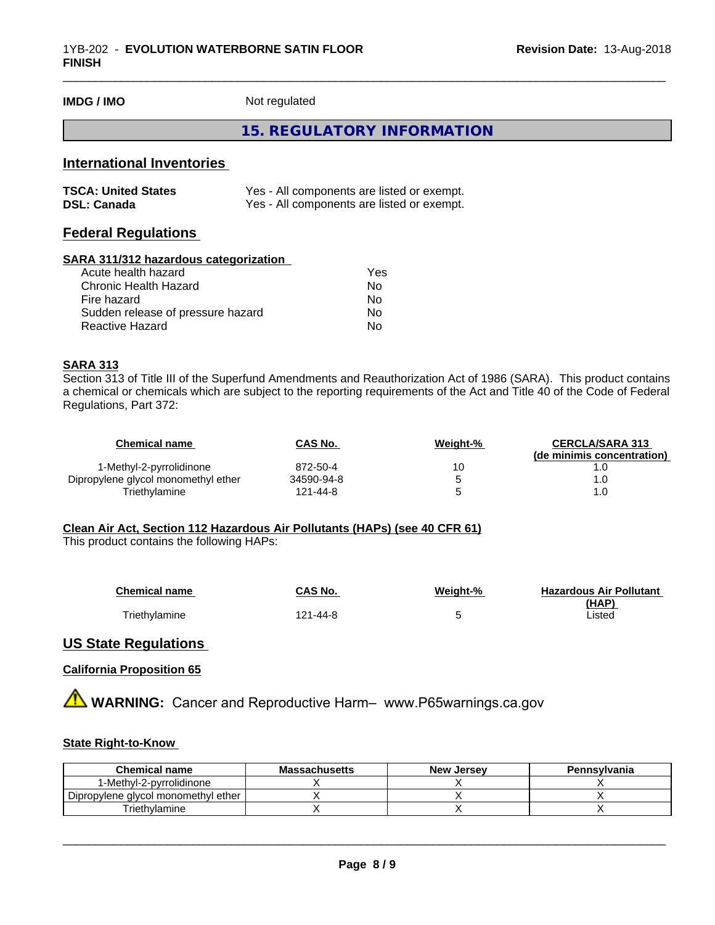**IMDG / IMO** Not regulated

### **15. REGULATORY INFORMATION**

\_\_\_\_\_\_\_\_\_\_\_\_\_\_\_\_\_\_\_\_\_\_\_\_\_\_\_\_\_\_\_\_\_\_\_\_\_\_\_\_\_\_\_\_\_\_\_\_\_\_\_\_\_\_\_\_\_\_\_\_\_\_\_\_\_\_\_\_\_\_\_\_\_\_\_\_\_\_\_\_\_\_\_\_\_\_\_\_\_\_\_\_\_

## **International Inventories**

| <b>TSCA: United States</b> | Yes - All components are listed or exempt. |
|----------------------------|--------------------------------------------|
| <b>DSL: Canada</b>         | Yes - All components are listed or exempt. |

## **Federal Regulations**

#### **SARA 311/312 hazardous categorization**

| Acute health hazard               | Yes |
|-----------------------------------|-----|
| Chronic Health Hazard             | Nο  |
| Fire hazard                       | No  |
| Sudden release of pressure hazard | Nο  |
| Reactive Hazard                   | N٥  |

#### **SARA 313**

Section 313 of Title III of the Superfund Amendments and Reauthorization Act of 1986 (SARA). This product contains a chemical or chemicals which are subject to the reporting requirements of the Act and Title 40 of the Code of Federal Regulations, Part 372:

| Chemical name                       | <b>CAS No.</b> | Weight-% | <b>CERCLA/SARA 313</b>     |
|-------------------------------------|----------------|----------|----------------------------|
|                                     |                |          | (de minimis concentration) |
| 1-Methyl-2-pyrrolidinone            | 872-50-4       | 10       |                            |
| Dipropylene glycol monomethyl ether | 34590-94-8     |          |                            |
| Triethvlamine                       | 121-44-8       |          | 1.0                        |

#### **Clean Air Act,Section 112 Hazardous Air Pollutants (HAPs) (see 40 CFR 61)**

This product contains the following HAPs:

| <b>Chemical name</b> | CAS No.  | Weight-% | <b>Hazardous Air Pollutant</b> |
|----------------------|----------|----------|--------------------------------|
|                      |          |          | (HAP)                          |
| <b>Triethylamine</b> | 121-44-8 |          | Listed                         |

### **US State Regulations**

#### **California Proposition 65**

**AVIMARNING:** Cancer and Reproductive Harm– www.P65warnings.ca.gov

#### **State Right-to-Know**

| <b>Chemical name</b>                | <b>Massachusetts</b> | New<br>. Jersev | Pennsylvania |
|-------------------------------------|----------------------|-----------------|--------------|
| 1-Methyl-2-pyrrolidinone            |                      |                 |              |
| Dipropylene glycol monomethyl ether |                      |                 |              |
| Friethvlamine                       |                      |                 |              |